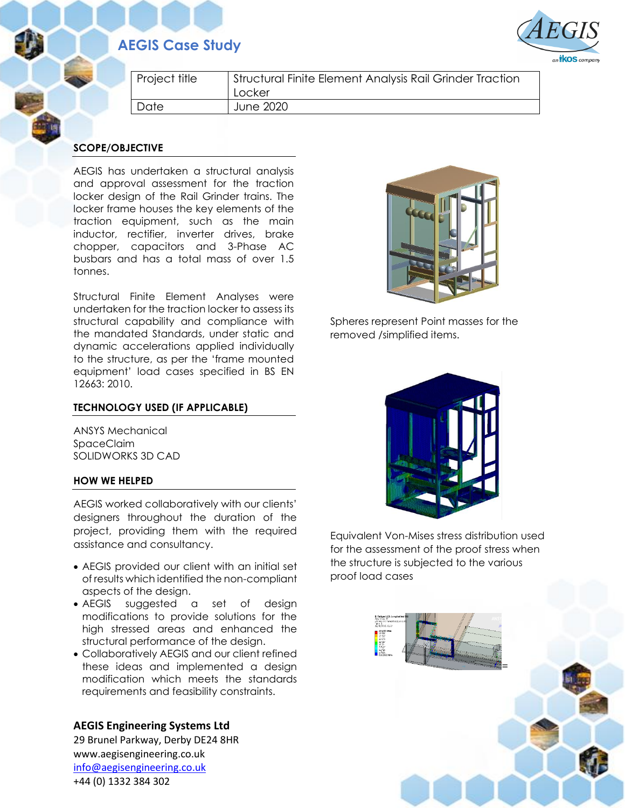## **AEGIS Case Study**



| Project title | Structural Finite Element Analysis Rail Grinder Traction<br>Locker |
|---------------|--------------------------------------------------------------------|
| Date          | June 2020                                                          |

### **SCOPE/OBJECTIVE**

AEGIS has undertaken a structural analysis and approval assessment for the traction locker design of the Rail Grinder trains. The locker frame houses the key elements of the traction equipment, such as the main inductor, rectifier, inverter drives, brake chopper, capacitors and 3-Phase AC busbars and has a total mass of over 1.5 tonnes.

Structural Finite Element Analyses were undertaken for the traction locker to assess its structural capability and compliance with the mandated Standards, under static and dynamic accelerations applied individually to the structure, as per the 'frame mounted equipment' load cases specified in BS EN 12663: 2010.

#### **TECHNOLOGY USED (IF APPLICABLE)**

ANSYS Mechanical SpaceClaim SOLIDWORKS 3D CAD

#### **HOW WE HELPED**

AEGIS worked collaboratively with our clients' designers throughout the duration of the project, providing them with the required assistance and consultancy.

- AEGIS provided our client with an initial set of results which identified the non-compliant aspects of the design.
- AEGIS suggested a set of design modifications to provide solutions for the high stressed areas and enhanced the structural performance of the design.
- Collaboratively AEGIS and our client refined these ideas and implemented a design modification which meets the standards requirements and feasibility constraints.

**AEGIS Engineering Systems Ltd** 29 Brunel Parkway, Derby DE24 8HR www.aegisengineering.co.uk [info@aegisengineering.co.uk](mailto:info@aegisengineering.co.uk) +44 (0) 1332 384 302



Spheres represent Point masses for the removed /simplified items.



Equivalent Von-Mises stress distribution used for the assessment of the proof stress when the structure is subjected to the various proof load cases